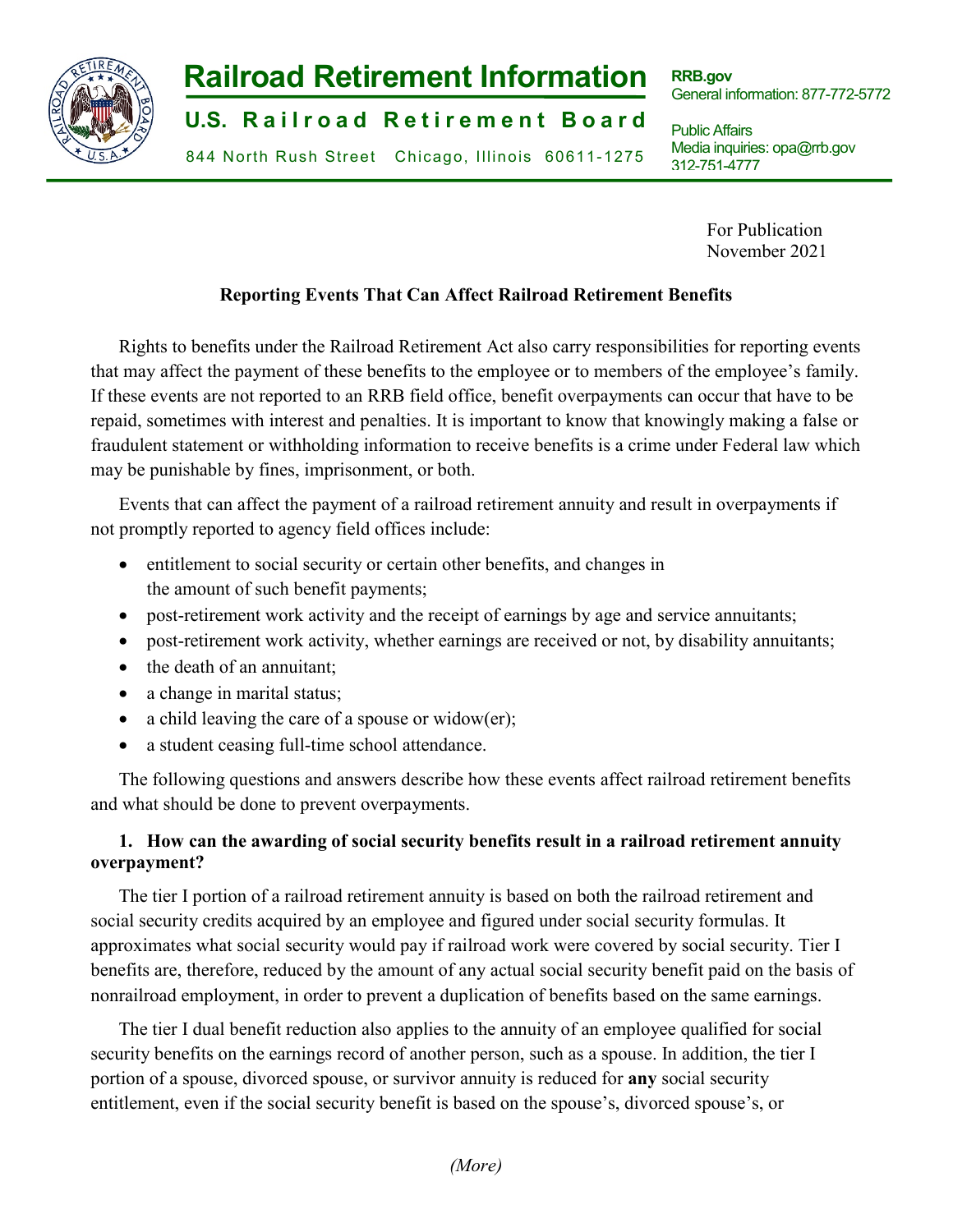

# **-1- Railroad Retirement Information**

**U.S. Railroad Retirement Board** 

844 North Rush Street Chicago, Illinois 60611-1275

**RRB.gov** General information: 877-772-5772

Public Affairs Media inquiries: opa@rrb.gov 312-751-4777

> For Publication November 2021

# **Reporting Events That Can Affect Railroad Retirement Benefits**

Rights to benefits under the Railroad Retirement Act also carry responsibilities for reporting events that may affect the payment of these benefits to the employee or to members of the employee's family. If these events are not reported to an RRB field office, benefit overpayments can occur that have to be repaid, sometimes with interest and penalties. It is important to know that knowingly making a false or fraudulent statement or withholding information to receive benefits is a crime under Federal law which may be punishable by fines, imprisonment, or both.

Events that can affect the payment of a railroad retirement annuity and result in overpayments if not promptly reported to agency field offices include:

- entitlement to social security or certain other benefits, and changes in the amount of such benefit payments;
- post-retirement work activity and the receipt of earnings by age and service annuitants;
- post-retirement work activity, whether earnings are received or not, by disability annuitants;
- the death of an annuitant;
- a change in marital status;
- a child leaving the care of a spouse or widow(er);
- a student ceasing full-time school attendance.

The following questions and answers describe how these events affect railroad retirement benefits and what should be done to prevent overpayments.

# **1. How can the awarding of social security benefits result in a railroad retirement annuity overpayment?**

The tier I portion of a railroad retirement annuity is based on both the railroad retirement and social security credits acquired by an employee and figured under social security formulas. It approximates what social security would pay if railroad work were covered by social security. Tier I benefits are, therefore, reduced by the amount of any actual social security benefit paid on the basis of nonrailroad employment, in order to prevent a duplication of benefits based on the same earnings.

The tier I dual benefit reduction also applies to the annuity of an employee qualified for social security benefits on the earnings record of another person, such as a spouse. In addition, the tier I portion of a spouse, divorced spouse, or survivor annuity is reduced for **any** social security entitlement, even if the social security benefit is based on the spouse's, divorced spouse's, or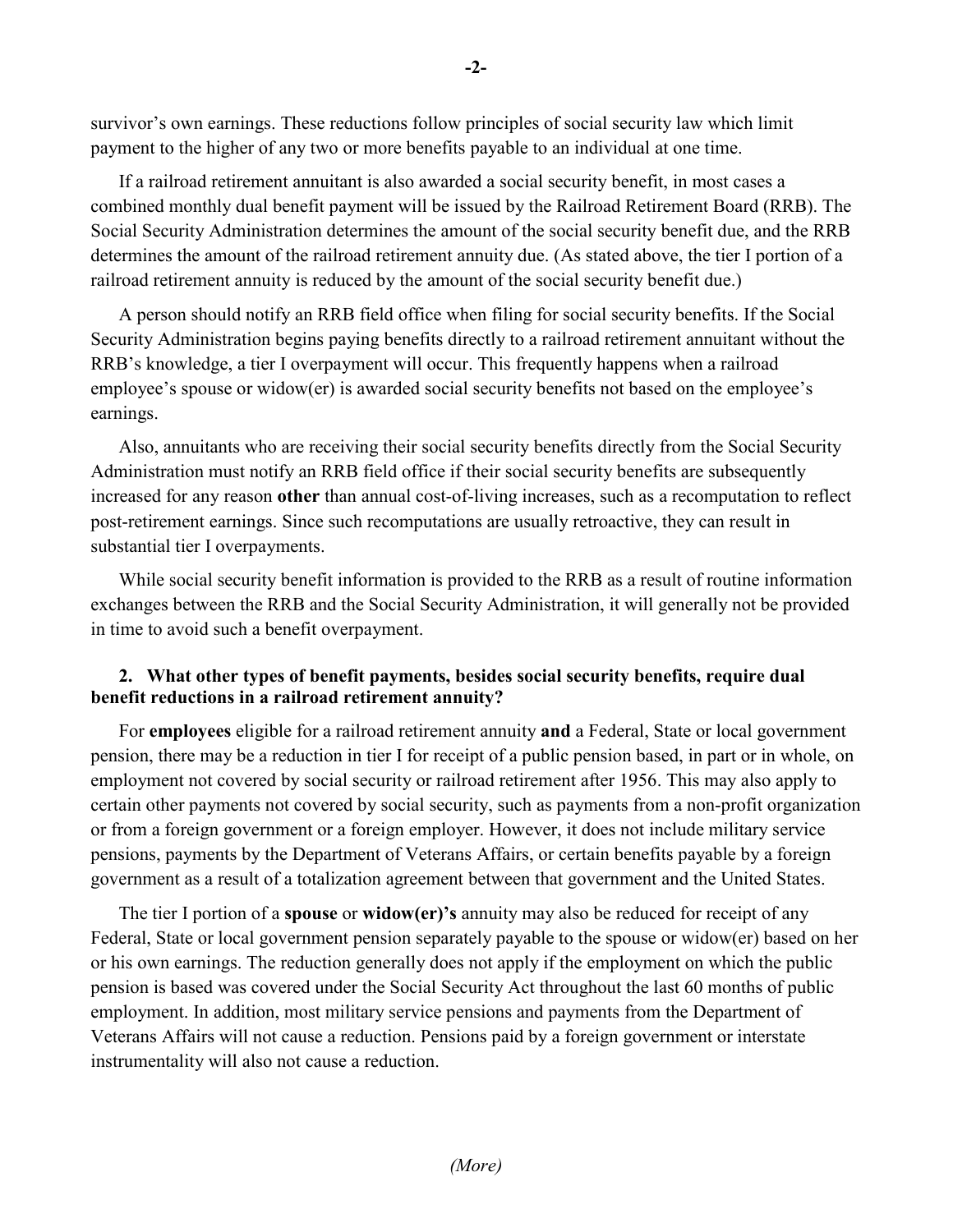survivor's own earnings. These reductions follow principles of social security law which limit payment to the higher of any two or more benefits payable to an individual at one time.

If a railroad retirement annuitant is also awarded a social security benefit, in most cases a combined monthly dual benefit payment will be issued by the Railroad Retirement Board (RRB). The Social Security Administration determines the amount of the social security benefit due, and the RRB determines the amount of the railroad retirement annuity due. (As stated above, the tier I portion of a railroad retirement annuity is reduced by the amount of the social security benefit due.)

A person should notify an RRB field office when filing for social security benefits. If the Social Security Administration begins paying benefits directly to a railroad retirement annuitant without the RRB's knowledge, a tier I overpayment will occur. This frequently happens when a railroad employee's spouse or widow(er) is awarded social security benefits not based on the employee's earnings.

Also, annuitants who are receiving their social security benefits directly from the Social Security Administration must notify an RRB field office if their social security benefits are subsequently increased for any reason **other** than annual cost-of-living increases, such as a recomputation to reflect post-retirement earnings. Since such recomputations are usually retroactive, they can result in substantial tier I overpayments.

While social security benefit information is provided to the RRB as a result of routine information exchanges between the RRB and the Social Security Administration, it will generally not be provided in time to avoid such a benefit overpayment.

## **2. What other types of benefit payments, besides social security benefits, require dual benefit reductions in a railroad retirement annuity?**

For **employees** eligible for a railroad retirement annuity **and** a Federal, State or local government pension, there may be a reduction in tier I for receipt of a public pension based, in part or in whole, on employment not covered by social security or railroad retirement after 1956. This may also apply to certain other payments not covered by social security, such as payments from a non-profit organization or from a foreign government or a foreign employer. However, it does not include military service pensions, payments by the Department of Veterans Affairs, or certain benefits payable by a foreign government as a result of a totalization agreement between that government and the United States.

The tier I portion of a **spouse** or **widow(er)'s** annuity may also be reduced for receipt of any Federal, State or local government pension separately payable to the spouse or widow(er) based on her or his own earnings. The reduction generally does not apply if the employment on which the public pension is based was covered under the Social Security Act throughout the last 60 months of public employment. In addition, most military service pensions and payments from the Department of Veterans Affairs will not cause a reduction. Pensions paid by a foreign government or interstate instrumentality will also not cause a reduction.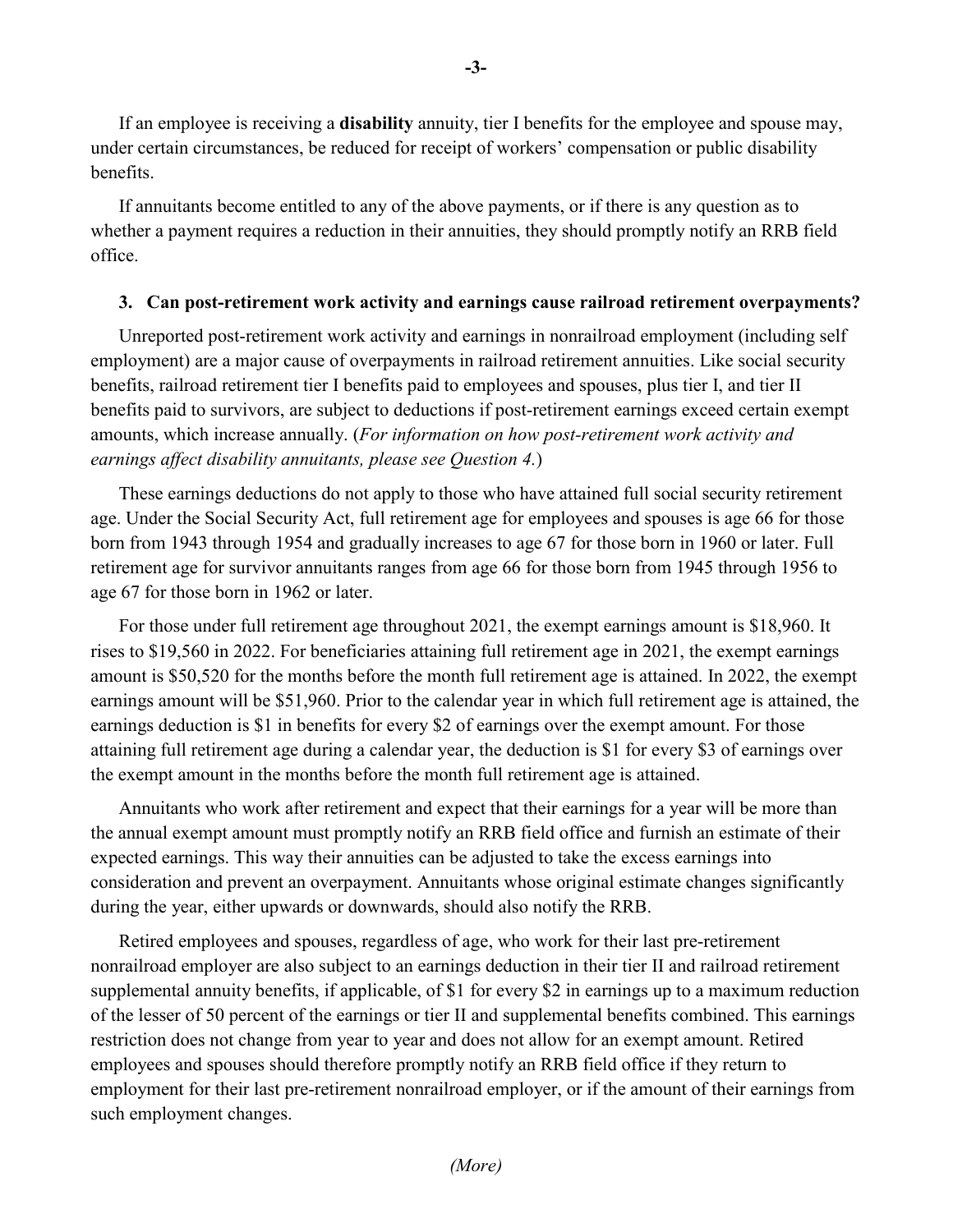If an employee is receiving a **disability** annuity, tier I benefits for the employee and spouse may, under certain circumstances, be reduced for receipt of workers' compensation or public disability benefits.

If annuitants become entitled to any of the above payments, or if there is any question as to whether a payment requires a reduction in their annuities, they should promptly notify an RRB field office.

#### **3. Can post-retirement work activity and earnings cause railroad retirement overpayments?**

Unreported post-retirement work activity and earnings in nonrailroad employment (including self employment) are a major cause of overpayments in railroad retirement annuities. Like social security benefits, railroad retirement tier I benefits paid to employees and spouses, plus tier I, and tier II benefits paid to survivors, are subject to deductions if post-retirement earnings exceed certain exempt amounts, which increase annually. (*For information on how post-retirement work activity and earnings affect disability annuitants, please see Question 4.*)

These earnings deductions do not apply to those who have attained full social security retirement age. Under the Social Security Act, full retirement age for employees and spouses is age 66 for those born from 1943 through 1954 and gradually increases to age 67 for those born in 1960 or later. Full retirement age for survivor annuitants ranges from age 66 for those born from 1945 through 1956 to age 67 for those born in 1962 or later.

For those under full retirement age throughout 2021, the exempt earnings amount is \$18,960. It rises to \$19,560 in 2022. For beneficiaries attaining full retirement age in 2021, the exempt earnings amount is \$50,520 for the months before the month full retirement age is attained. In 2022, the exempt earnings amount will be \$51,960. Prior to the calendar year in which full retirement age is attained, the earnings deduction is \$1 in benefits for every \$2 of earnings over the exempt amount. For those attaining full retirement age during a calendar year, the deduction is \$1 for every \$3 of earnings over the exempt amount in the months before the month full retirement age is attained.

Annuitants who work after retirement and expect that their earnings for a year will be more than the annual exempt amount must promptly notify an RRB field office and furnish an estimate of their expected earnings. This way their annuities can be adjusted to take the excess earnings into consideration and prevent an overpayment. Annuitants whose original estimate changes significantly during the year, either upwards or downwards, should also notify the RRB.

Retired employees and spouses, regardless of age, who work for their last pre-retirement nonrailroad employer are also subject to an earnings deduction in their tier II and railroad retirement supplemental annuity benefits, if applicable, of \$1 for every \$2 in earnings up to a maximum reduction of the lesser of 50 percent of the earnings or tier II and supplemental benefits combined. This earnings restriction does not change from year to year and does not allow for an exempt amount. Retired employees and spouses should therefore promptly notify an RRB field office if they return to employment for their last pre-retirement nonrailroad employer, or if the amount of their earnings from such employment changes.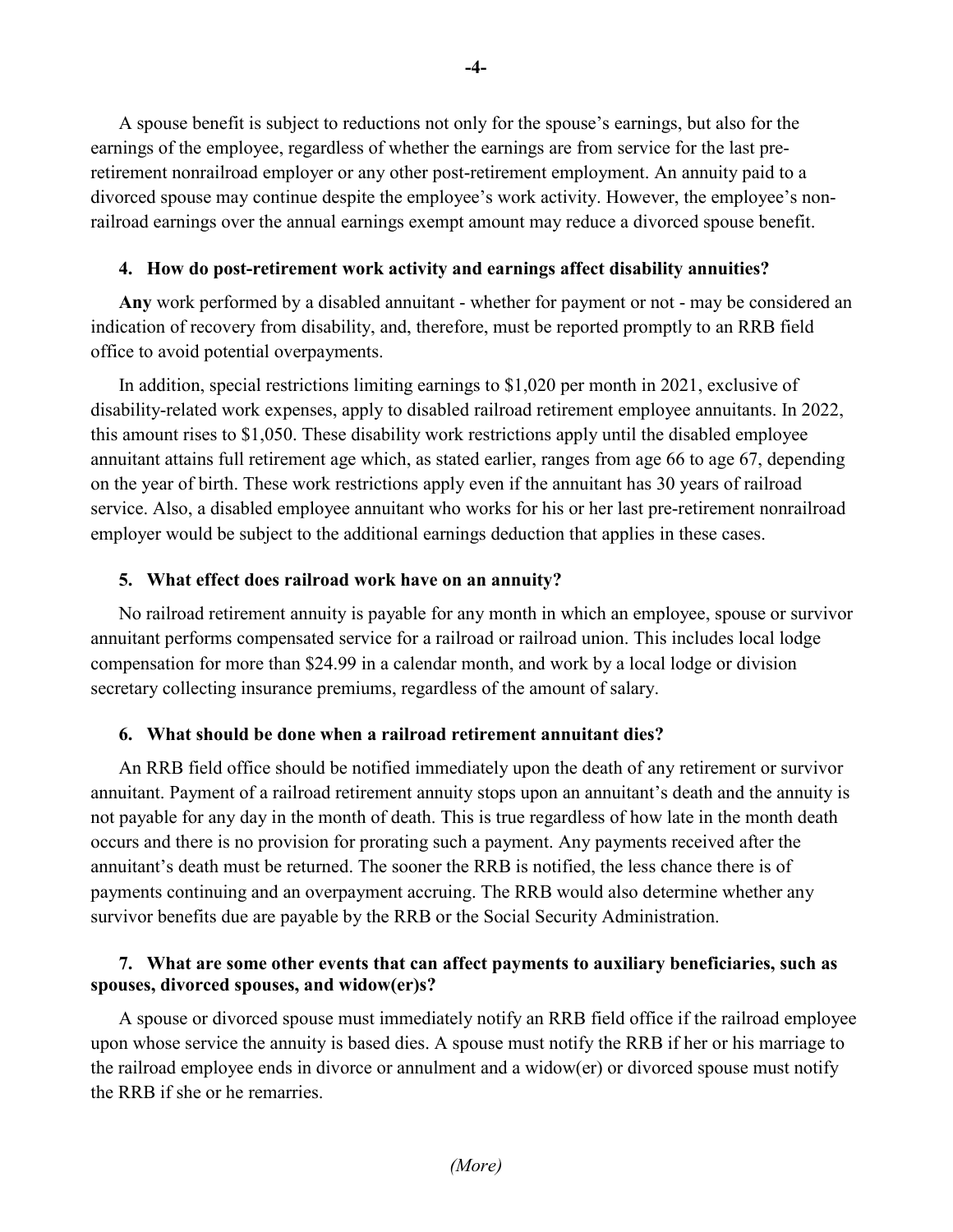A spouse benefit is subject to reductions not only for the spouse's earnings, but also for the earnings of the employee, regardless of whether the earnings are from service for the last preretirement nonrailroad employer or any other post-retirement employment. An annuity paid to a divorced spouse may continue despite the employee's work activity. However, the employee's nonrailroad earnings over the annual earnings exempt amount may reduce a divorced spouse benefit.

#### **4. How do post-retirement work activity and earnings affect disability annuities?**

**Any** work performed by a disabled annuitant - whether for payment or not - may be considered an indication of recovery from disability, and, therefore, must be reported promptly to an RRB field office to avoid potential overpayments.

In addition, special restrictions limiting earnings to \$1,020 per month in 2021, exclusive of disability-related work expenses, apply to disabled railroad retirement employee annuitants. In 2022, this amount rises to \$1,050. These disability work restrictions apply until the disabled employee annuitant attains full retirement age which, as stated earlier, ranges from age 66 to age 67, depending on the year of birth. These work restrictions apply even if the annuitant has 30 years of railroad service. Also, a disabled employee annuitant who works for his or her last pre-retirement nonrailroad employer would be subject to the additional earnings deduction that applies in these cases.

### **5. What effect does railroad work have on an annuity?**

No railroad retirement annuity is payable for any month in which an employee, spouse or survivor annuitant performs compensated service for a railroad or railroad union. This includes local lodge compensation for more than \$24.99 in a calendar month, and work by a local lodge or division secretary collecting insurance premiums, regardless of the amount of salary.

### **6. What should be done when a railroad retirement annuitant dies?**

An RRB field office should be notified immediately upon the death of any retirement or survivor annuitant. Payment of a railroad retirement annuity stops upon an annuitant's death and the annuity is not payable for any day in the month of death. This is true regardless of how late in the month death occurs and there is no provision for prorating such a payment. Any payments received after the annuitant's death must be returned. The sooner the RRB is notified, the less chance there is of payments continuing and an overpayment accruing. The RRB would also determine whether any survivor benefits due are payable by the RRB or the Social Security Administration.

## **7. What are some other events that can affect payments to auxiliary beneficiaries, such as spouses, divorced spouses, and widow(er)s?**

A spouse or divorced spouse must immediately notify an RRB field office if the railroad employee upon whose service the annuity is based dies. A spouse must notify the RRB if her or his marriage to the railroad employee ends in divorce or annulment and a widow(er) or divorced spouse must notify the RRB if she or he remarries.

**-4-**